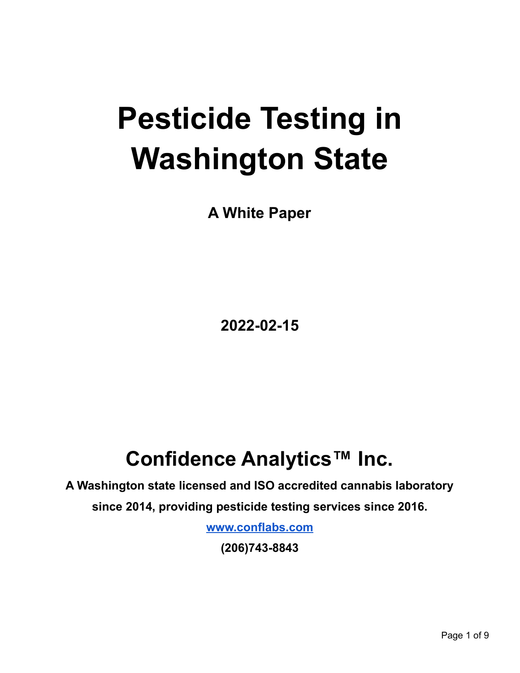# **Pesticide Testing in Washington State**

**A White Paper**

**2022-02-15**

# **Confidence Analytics™ Inc.**

**A Washington state licensed and ISO accredited cannabis laboratory since 2014, providing pesticide testing services since 2016.**

**[www.conflabs.com](http://www.conflabs.com)**

**(206)743-8843**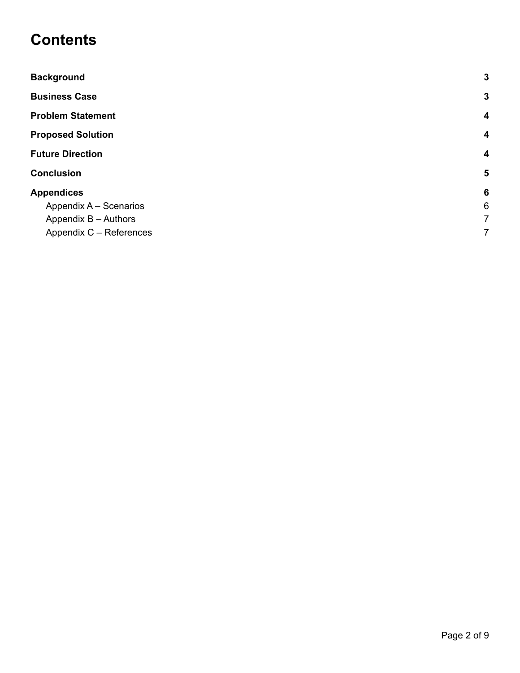#### **Contents**

| <b>Background</b>        | 3                       |
|--------------------------|-------------------------|
| <b>Business Case</b>     | 3                       |
| <b>Problem Statement</b> | $\overline{\mathbf{4}}$ |
| <b>Proposed Solution</b> | 4                       |
| <b>Future Direction</b>  | 4                       |
| <b>Conclusion</b>        | $5\phantom{1}$          |
| <b>Appendices</b>        | 6                       |
| Appendix A - Scenarios   | $6\phantom{1}$          |
| Appendix B - Authors     | $\overline{7}$          |
| Appendix C - References  | 7                       |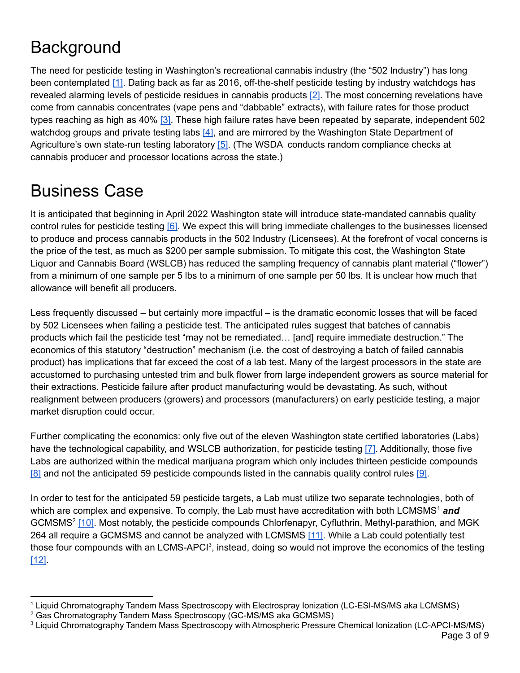### <span id="page-2-0"></span>**Background**

The need for pesticide testing in Washington's recreational cannabis industry (the "502 Industry") has long been contemplated [\[1\].](#page-7-0) Dating back as far as 2016, off-the-shelf pesticide testing by industry watchdogs has revealed alarming levels of pesticide residues in cannabis products [\[2\].](#page-7-0) The most concerning revelations have come from cannabis concentrates (vape pens and "dabbable" extracts), with failure rates for those product types reaching as high as 40% [\[3\].](#page-7-0) These high failure rates have been repeated by separate, independent 502 watchdog groups and private testing labs [\[4\]](#page-7-0), and are mirrored by the Washington State Department of Agriculture's own state-run testing laboratory [\[5\].](#page-7-0) (The WSDA conducts random compliance checks at cannabis producer and processor locations across the state.)

#### <span id="page-2-1"></span>Business Case

It is anticipated that beginning in April 2022 Washington state will introduce state-mandated cannabis quality control rules for pesticide testing [\[6\].](#page-7-0) We expect this will bring immediate challenges to the businesses licensed to produce and process cannabis products in the 502 Industry (Licensees). At the forefront of vocal concerns is the price of the test, as much as \$200 per sample submission. To mitigate this cost, the Washington State Liquor and Cannabis Board (WSLCB) has reduced the sampling frequency of cannabis plant material ("flower") from a minimum of one sample per 5 lbs to a minimum of one sample per 50 lbs. It is unclear how much that allowance will benefit all producers.

Less frequently discussed – but certainly more impactful – is the dramatic economic losses that will be faced by 502 Licensees when failing a pesticide test. The anticipated rules suggest that batches of cannabis products which fail the pesticide test "may not be remediated… [and] require immediate destruction." The economics of this statutory "destruction" mechanism (i.e. the cost of destroying a batch of failed cannabis product) has implications that far exceed the cost of a lab test. Many of the largest processors in the state are accustomed to purchasing untested trim and bulk flower from large independent growers as source material for their extractions. Pesticide failure after product manufacturing would be devastating. As such, without realignment between producers (growers) and processors (manufacturers) on early pesticide testing, a major market disruption could occur.

Further complicating the economics: only five out of the eleven Washington state certified laboratories (Labs) have the technological capability, and WSLCB authorization, for pesticide testing [\[7\]](#page-7-0). Additionally, those five Labs are authorized within the medical marijuana program which only includes thirteen pesticide compounds [\[8\]](#page-7-0) and not the anticipated 59 pesticide compounds listed in the cannabis quality control rules [\[9\].](#page-7-0)

In order to test for the anticipated 59 pesticide targets, a Lab must utilize two separate technologies, both of which are complex and expensive. To comply, the Lab must have accreditation with both LCMSMS <sup>1</sup> *and* GCMSMS<sup>2</sup> [\[10\].](#page-7-0) Most notably, the pesticide compounds Chlorfenapyr, Cyfluthrin, Methyl-parathion, and MGK 264 all require a GCMSMS and cannot be analyzed with LCMSMS [\[11\]](#page-7-0). While a Lab could potentially test those four compounds with an LCMS-APCI<sup>3</sup>, instead, doing so would not improve the economics of the testing [\[12\]](#page-7-0).

<sup>1</sup> Liquid Chromatography Tandem Mass Spectroscopy with Electrospray Ionization (LC-ESI-MS/MS aka LCMSMS)

<sup>2</sup> Gas Chromatography Tandem Mass Spectroscopy (GC-MS/MS aka GCMSMS)

<sup>3</sup> Liquid Chromatography Tandem Mass Spectroscopy with Atmospheric Pressure Chemical Ionization (LC-APCI-MS/MS)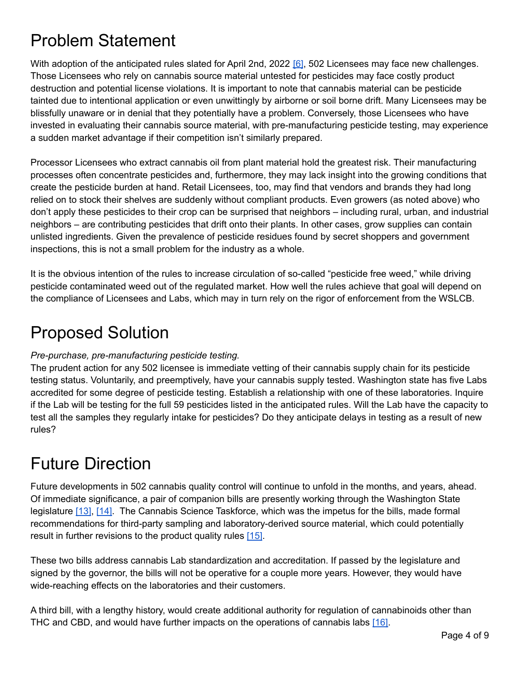### <span id="page-3-0"></span>Problem Statement

With adoption of the anticipated rules slated for April 2nd, 2022 [\[6\]](#page-7-0), 502 Licensees may face new challenges. Those Licensees who rely on cannabis source material untested for pesticides may face costly product destruction and potential license violations. It is important to note that cannabis material can be pesticide tainted due to intentional application or even unwittingly by airborne or soil borne drift. Many Licensees may be blissfully unaware or in denial that they potentially have a problem. Conversely, those Licensees who have invested in evaluating their cannabis source material, with pre-manufacturing pesticide testing, may experience a sudden market advantage if their competition isn't similarly prepared.

Processor Licensees who extract cannabis oil from plant material hold the greatest risk. Their manufacturing processes often concentrate pesticides and, furthermore, they may lack insight into the growing conditions that create the pesticide burden at hand. Retail Licensees, too, may find that vendors and brands they had long relied on to stock their shelves are suddenly without compliant products. Even growers (as noted above) who don't apply these pesticides to their crop can be surprised that neighbors – including rural, urban, and industrial neighbors – are contributing pesticides that drift onto their plants. In other cases, grow supplies can contain unlisted ingredients. Given the prevalence of pesticide residues found by secret shoppers and government inspections, this is not a small problem for the industry as a whole.

It is the obvious intention of the rules to increase circulation of so-called "pesticide free weed," while driving pesticide contaminated weed out of the regulated market. How well the rules achieve that goal will depend on the compliance of Licensees and Labs, which may in turn rely on the rigor of enforcement from the WSLCB.

#### <span id="page-3-1"></span>Proposed Solution

#### *Pre-purchase, pre-manufacturing pesticide testing.*

The prudent action for any 502 licensee is immediate vetting of their cannabis supply chain for its pesticide testing status. Voluntarily, and preemptively, have your cannabis supply tested. Washington state has five Labs accredited for some degree of pesticide testing. Establish a relationship with one of these laboratories. Inquire if the Lab will be testing for the full 59 pesticides listed in the anticipated rules. Will the Lab have the capacity to test all the samples they regularly intake for pesticides? Do they anticipate delays in testing as a result of new rules?

# <span id="page-3-2"></span>Future Direction

Future developments in 502 cannabis quality control will continue to unfold in the months, and years, ahead. Of immediate significance, a pair of companion bills are presently working through the Washington State legislature [\[13\]](#page-7-0), [\[14\].](#page-7-0) The Cannabis Science Taskforce, which was the impetus for the bills, made formal recommendations for third-party sampling and laboratory-derived source material, which could potentially result in further revisions to the product quality rules [\[15\]](#page-7-0).

These two bills address cannabis Lab standardization and accreditation. If passed by the legislature and signed by the governor, the bills will not be operative for a couple more years. However, they would have wide-reaching effects on the laboratories and their customers.

A third bill, with a lengthy history, would create additional authority for regulation of cannabinoids other than THC and CBD, and would have further impacts on the operations of cannabis labs [\[16\].](#page-7-0)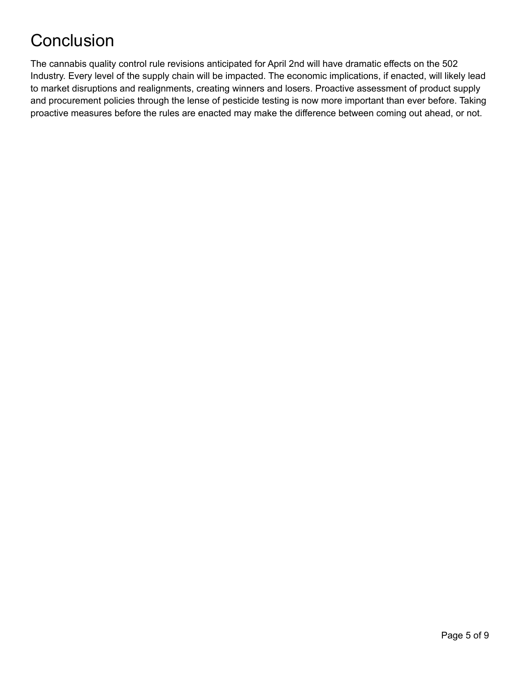# <span id="page-4-0"></span>**Conclusion**

The cannabis quality control rule revisions anticipated for April 2nd will have dramatic effects on the 502 Industry. Every level of the supply chain will be impacted. The economic implications, if enacted, will likely lead to market disruptions and realignments, creating winners and losers. Proactive assessment of product supply and procurement policies through the lense of pesticide testing is now more important than ever before. Taking proactive measures before the rules are enacted may make the difference between coming out ahead, or not.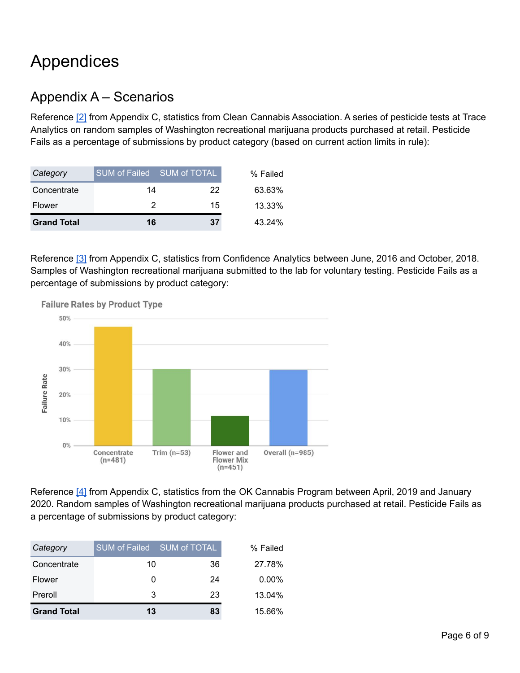# <span id="page-5-0"></span>Appendices

#### <span id="page-5-1"></span>Appendix A – Scenarios

Reference [\[2\]](#page-7-0) from Appendix C, statistics from Clean Cannabis Association. A series of pesticide tests at Trace Analytics on random samples of Washington recreational marijuana products purchased at retail. Pesticide Fails as a percentage of submissions by product category (based on current action limits in rule):

| Category           | SUM of Failed SUM of TOTAL |    | % Failed |
|--------------------|----------------------------|----|----------|
| Concentrate        | 14                         | 22 | 63.63%   |
| Flower             | 2                          | 15 | 13.33%   |
| <b>Grand Total</b> | 16                         | 37 | 43.24%   |

Reference [\[3\]](#page-7-0) from Appendix C, statistics from Confidence Analytics between June, 2016 and October, 2018. Samples of Washington recreational marijuana submitted to the lab for voluntary testing. Pesticide Fails as a percentage of submissions by product category:



**Failure Rates by Product Type** 

Reference [\[4\]](#page-7-0) from Appendix C, statistics from the OK Cannabis Program between April, 2019 and January 2020. Random samples of Washington recreational marijuana products purchased at retail. Pesticide Fails as a percentage of submissions by product category:

| Category           | <b>SUM of Failed</b> | SUM of TOTAL | % Failed |
|--------------------|----------------------|--------------|----------|
| Concentrate        | 10                   | 36           | 27.78%   |
| Flower             |                      | 24           | $0.00\%$ |
| Preroll            | 3                    | 23           | 13.04%   |
| <b>Grand Total</b> | 13                   | 83           | 15.66%   |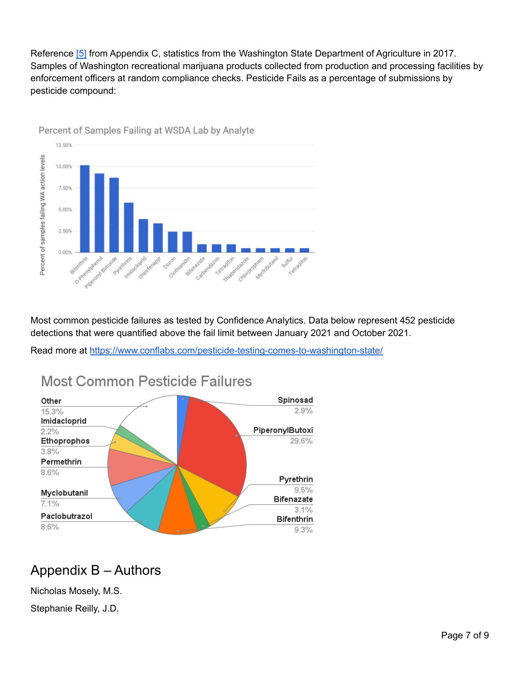Reference [\[5\]](#page-7-0) from Appendix C, statistics from the Washington State Department of Agriculture in 2017. Samples of Washington recreational marijuana products collected from production and processing facilities by enforcement officers at random compliance checks. Pesticide Fails as a percentage of submissions by pesticide compound:



Percent of Samples Failing at WSDA Lab by Analyte

Most common pesticide failures as tested by Confidence Analytics. Data below represent 452 pesticide detections that were quantified above the fail limit between January 2021 and October 2021.

Read more at <https://www.conflabs.com/pesticide-testing-comes-to-washington-state/>



#### Most Common Pesticide Failures

#### <span id="page-6-0"></span>Appendix B – Authors

Nicholas Mosely, M.S.

Stephanie Reilly, J.D.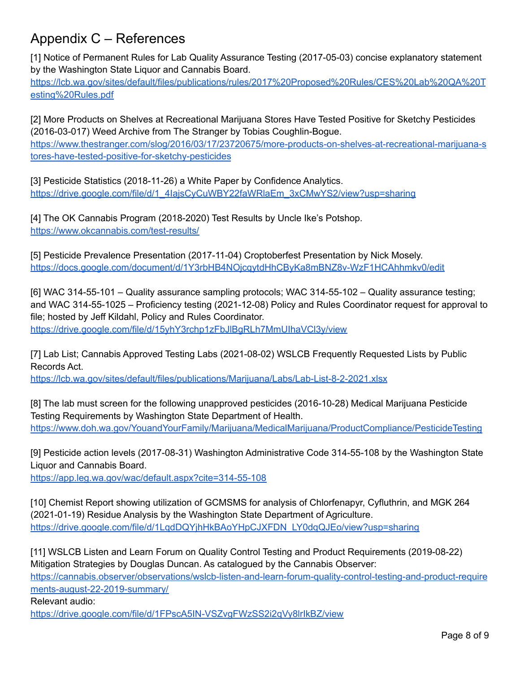#### <span id="page-7-0"></span>Appendix C – References

[1] Notice of Permanent Rules for Lab Quality Assurance Testing (2017-05-03) concise explanatory statement by the Washington State Liquor and Cannabis Board. [https://lcb.wa.gov/sites/default/files/publications/rules/2017%20Proposed%20Rules/CES%20Lab%20QA%20T](https://lcb.wa.gov/sites/default/files/publications/rules/2017%20Proposed%20Rules/CES%20Lab%20QA%20Testing%20Rules.pdf)

[esting%20Rules.pdf](https://lcb.wa.gov/sites/default/files/publications/rules/2017%20Proposed%20Rules/CES%20Lab%20QA%20Testing%20Rules.pdf)

[2] More Products on Shelves at Recreational Marijuana Stores Have Tested Positive for Sketchy Pesticides (2016-03-017) Weed Archive from The Stranger by Tobias Coughlin-Bogue. [https://www.thestranger.com/slog/2016/03/17/23720675/more-products-on-shelves-at-recreational-marijuana-s](https://www.thestranger.com/slog/2016/03/17/23720675/more-products-on-shelves-at-recreational-marijuana-stores-have-tested-positive-for-sketchy-pesticides) [tores-have-tested-positive-for-sketchy-pesticides](https://www.thestranger.com/slog/2016/03/17/23720675/more-products-on-shelves-at-recreational-marijuana-stores-have-tested-positive-for-sketchy-pesticides)

[3] Pesticide Statistics (2018-11-26) a White Paper by Confidence Analytics. [https://drive.google.com/file/d/1\\_4IajsCyCuWBY22faWRlaEm\\_3xCMwYS2/view?usp=sharing](https://drive.google.com/file/d/1_4IajsCyCuWBY22faWRlaEm_3xCMwYS2/view?usp=sharing)

[4] The OK Cannabis Program (2018-2020) Test Results by Uncle Ike's Potshop. <https://www.okcannabis.com/test-results/>

[5] Pesticide Prevalence Presentation (2017-11-04) Croptoberfest Presentation by Nick Mosely. <https://docs.google.com/document/d/1Y3rbHB4NOjcqytdHhCByKa8mBNZ8v-WzF1HCAhhmkv0/edit>

[6] WAC 314-55-101 – Quality assurance sampling protocols; WAC 314-55-102 – Quality assurance testing; and WAC 314-55-1025 – Proficiency testing (2021-12-08) Policy and Rules Coordinator request for approval to file; hosted by Jeff Kildahl, Policy and Rules Coordinator. <https://drive.google.com/file/d/15yhY3rchp1zFbJlBgRLh7MmUIhaVCl3y/view>

[7] Lab List; Cannabis Approved Testing Labs (2021-08-02) WSLCB Frequently Requested Lists by Public Records Act.

<https://lcb.wa.gov/sites/default/files/publications/Marijuana/Labs/Lab-List-8-2-2021.xlsx>

[8] The lab must screen for the following unapproved pesticides (2016-10-28) Medical Marijuana Pesticide Testing Requirements by Washington State Department of Health. <https://www.doh.wa.gov/YouandYourFamily/Marijuana/MedicalMarijuana/ProductCompliance/PesticideTesting>

[9] Pesticide action levels (2017-08-31) Washington Administrative Code 314-55-108 by the Washington State Liquor and Cannabis Board.

<https://app.leg.wa.gov/wac/default.aspx?cite=314-55-108>

[10] Chemist Report showing utilization of GCMSMS for analysis of Chlorfenapyr, Cyfluthrin, and MGK 264 (2021-01-19) Residue Analysis by the Washington State Department of Agriculture. [https://drive.google.com/file/d/1LqdDQYjhHkBAoYHpCJXFDN\\_LY0dqQJEo/view?usp=sharing](https://drive.google.com/file/d/1LqdDQYjhHkBAoYHpCJXFDN_LY0dqQJEo/view?usp=sharing)

[11] WSLCB Listen and Learn Forum on Quality Control Testing and Product Requirements (2019-08-22) Mitigation Strategies by Douglas Duncan. As catalogued by the Cannabis Observer: [https://cannabis.observer/observations/wslcb-listen-and-learn-forum-quality-control-testing-and-product-require](https://cannabis.observer/observations/wslcb-listen-and-learn-forum-quality-control-testing-and-product-requirements-august-22-2019-summary/) [ments-august-22-2019-summary/](https://cannabis.observer/observations/wslcb-listen-and-learn-forum-quality-control-testing-and-product-requirements-august-22-2019-summary/) Relevant audio:

<https://drive.google.com/file/d/1FPscA5IN-VSZvgFWzSS2i2qVy8lrIkBZ/view>